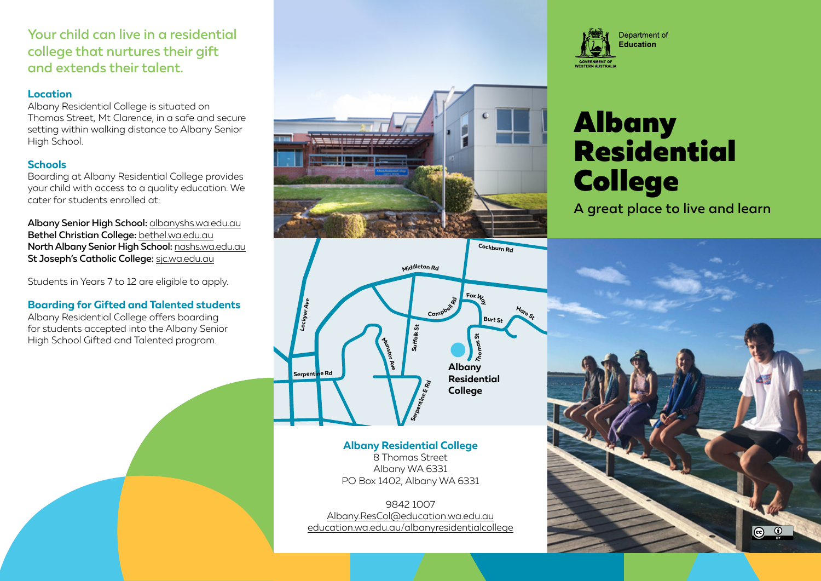# Your child can live in a residential college that nurtures their gift and extends their talent.

### **Location**

Albany Residential College is situated on Thomas Street, Mt Clarence, in a safe and secure setting within walking distance to Albany Senior High School.

## **Schools**

Boarding at Albany Residential College provides your child with access to a quality education. We cater for students enrolled at:

Albany Senior High School: [albanyshs.wa.edu.au](http://albanyshs.wa.edu.au) Bethel Christian College: [bethel.wa.edu.au](http://bethel.wa.edu.au) North Albany Senior High School: [nashs.wa.edu.au](http://nashs.wa.edu.au) St Joseph's Catholic College: [sjc.wa.edu.au](http://sjc.wa.edu.au)

Students in Years 7 to 12 are eligible to apply.

## **Boarding for Gifted and Talented students**

Albany Residential College offers boarding for students accepted into the Albany Senior High School Gifted and Talented program.





# **Albany Residential College**

8 Thomas Street Albany WA 6331 PO Box 1402, Albany WA 6331

9842 1007 [Albany.ResCol@education.wa.edu.au](mailto:Albany.ResCol%40education.wa.edu.au?subject=) [education.wa.edu.au/albanyresidentialcollege](http://education.wa.edu.au/albanyresidentialcollege)



# Albany Residential College

A great place to live and learn